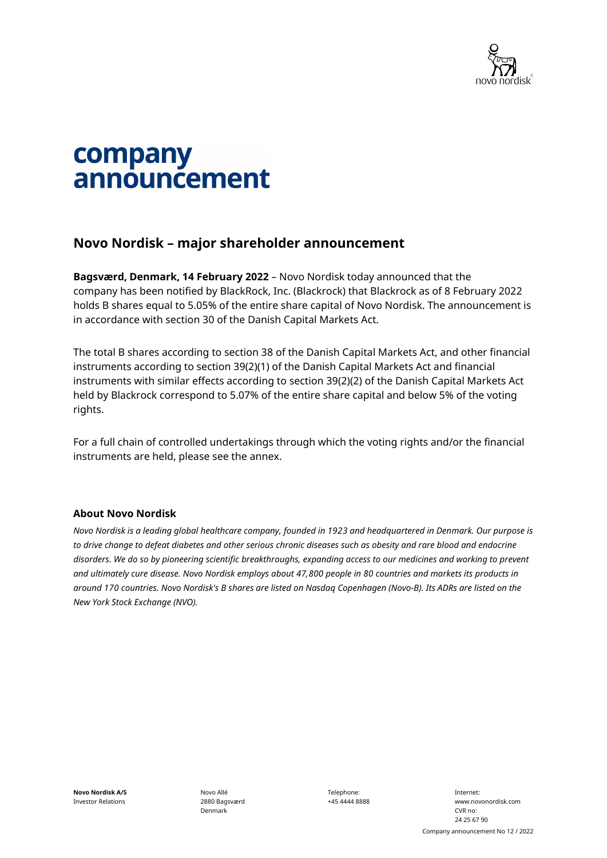

# company announcement

## **Novo Nordisk – major shareholder announcement**

**Bagsværd, Denmark, 14 February 2022** – Novo Nordisk today announced that the company has been notified by BlackRock, Inc. (Blackrock) that Blackrock as of 8 February 2022 holds B shares equal to 5.05% of the entire share capital of Novo Nordisk. The announcement is in accordance with section 30 of the Danish Capital Markets Act.

The total B shares according to section 38 of the Danish Capital Markets Act, and other financial instruments according to section 39(2)(1) of the Danish Capital Markets Act and financial instruments with similar effects according to section 39(2)(2) of the Danish Capital Markets Act held by Blackrock correspond to 5.07% of the entire share capital and below 5% of the voting rights.

For a full chain of controlled undertakings through which the voting rights and/or the financial instruments are held, please see the annex.

#### **About Novo Nordisk**

*Novo Nordisk is a leading global healthcare company, founded in 1923 and headquartered in Denmark. Our purpose is to drive change to defeat diabetes and other serious chronic diseases such as obesity and rare blood and endocrine disorders. We do so by pioneering scientific breakthroughs, expanding access to our medicines and working to prevent and ultimately cure disease. Novo Nordisk employs about 47,800 people in 80 countries and markets its products in around 170 countries. Novo Nordisk's B shares are listed on Nasdaq Copenhagen (Novo-B). Its ADRs are listed on the New York Stock Exchange (NVO).* 

Novo Allé 2880 Bagsværd Denmark

Telephone: +45 4444 8888

Internet: www.novonordisk.com CVR no: 24 25 67 90 Company announcement No 12 / 2022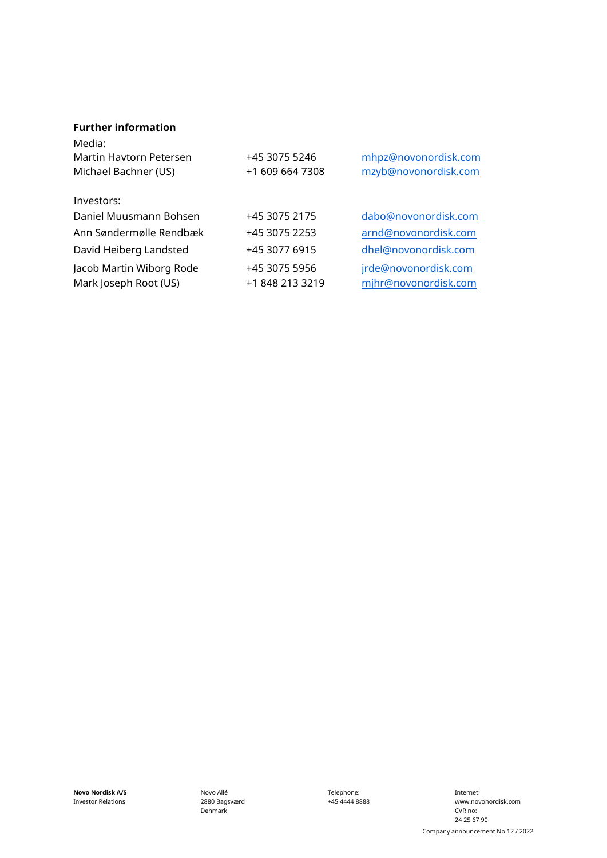#### **Further information**

| Media:<br>Martin Havtorn Petersen<br>Michael Bachner (US) | +45 3075 5246<br>+1 609 664 7308 | mhpz@novonordisk.com<br>mzyb@novonordisk.com |
|-----------------------------------------------------------|----------------------------------|----------------------------------------------|
| Investors:                                                |                                  |                                              |
| Daniel Muusmann Bohsen                                    | +45 3075 2175                    | dabo@novonordisk.com                         |
| Ann Søndermølle Rendbæk                                   | +45 3075 2253                    | arnd@novonordisk.com                         |
| David Heiberg Landsted                                    | +45 3077 6915                    | dhel@novonordisk.com                         |
| Jacob Martin Wiborg Rode<br>Mark Joseph Root (US)         | +45 3075 5956<br>+1 848 213 3219 | jrde@novonordisk.com<br>mjhr@novonordisk.com |

**Novo Nordisk A/S** Investor Relations

Novo Allé 2880 Bagsværd Denmark

Telephone: +45 4444 8888

Internet: www.novonordisk.com CVR no: 24 25 67 90 Company announcement No 12 / 2022